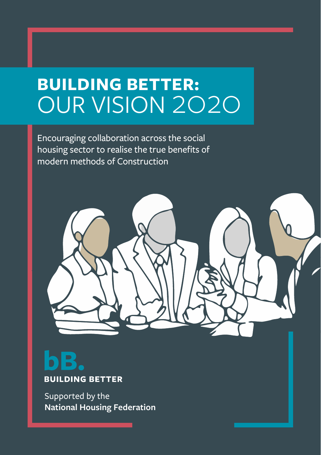# **BUILDING BETTER:** OUR VISION 2020

Encouraging collaboration across the social housing sector to realise the true benefits of modern methods of Construction



# **BUILDING BETTER**

Supported by the **National Housing Federation**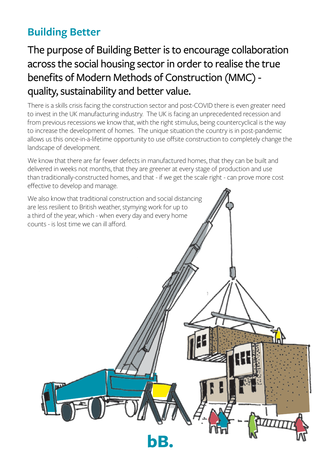### **Building Better**

### The purpose of Building Better is to encourage collaboration across the social housing sector in order to realise the true benefits of Modern Methods of Construction (MMC) quality, sustainability and better value.

There is a skills crisis facing the construction sector and post-COVID there is even greater need to invest in the UK manufacturing industry. The UK is facing an unprecedented recession and from previous recessions we know that, with the right stimulus, being countercyclical is the way to increase the development of homes. The unique situation the country is in post-pandemic allows us this once-in-a-lifetime opportunity to use offsite construction to completely change the landscape of development.

We know that there are far fewer defects in manufactured homes, that they can be built and delivered in weeks not months, that they are greener at every stage of production and use than traditionally-constructed homes, and that - if we get the scale right - can prove more cost effective to develop and manage.

We also know that traditional construction and social distancing are less resilient to British weather, stymying work for up to a third of the year, which - when every day and every home counts - is lost time we can ill afford.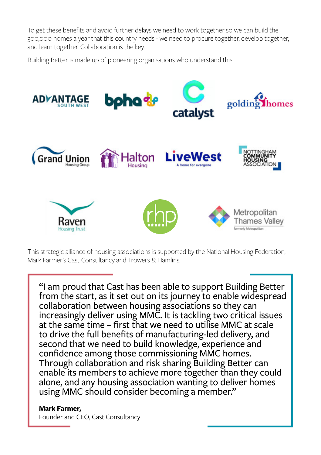To get these benefits and avoid further delays we need to work together so we can build the 300,000 homes a year that this country needs - we need to procure together, develop together, and learn together. Collaboration is the key.

Building Better is made up of pioneering organisations who understand this.



This strategic alliance of housing associations is supported by the National Housing Federation, Mark Farmer's Cast Consultancy and Trowers & Hamlins.

"I am proud that Cast has been able to support Building Better from the start, as it set out on its journey to enable widespread collaboration between housing associations so they can increasingly deliver using MMC. It is tackling two critical issues at the same time – first that we need to utilise MMC at scale to drive the full benefits of manufacturing-led delivery, and second that we need to build knowledge, experience and confidence among those commissioning MMC homes. Through collaboration and risk sharing Building Better can enable its members to achieve more together than they could alone, and any housing association wanting to deliver homes using MMC should consider becoming a member."

#### **Mark Farmer,**

Founder and CEO, Cast Consultancy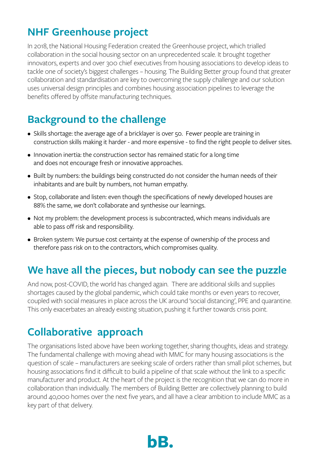### **NHF Greenhouse project**

In 2018, the National Housing Federation created the Greenhouse project, which trialled collaboration in the social housing sector on an unprecedented scale. It brought together innovators, experts and over 300 chief executives from housing associations to develop ideas to tackle one of society's biggest challenges – housing. The Building Better group found that greater collaboration and standardisation are key to overcoming the supply challenge and our solution uses universal design principles and combines housing association pipelines to leverage the benefits offered by offsite manufacturing techniques.

### **Background to the challenge**

- Skills shortage: the average age of a bricklayer is over 50. Fewer people are training in construction skills making it harder - and more expensive - to find the right people to deliver sites.
- Innovation inertia: the construction sector has remained static for a long time and does not encourage fresh or innovative approaches.
- Built by numbers: the buildings being constructed do not consider the human needs of their inhabitants and are built by numbers, not human empathy.
- Stop, collaborate and listen: even though the specifications of newly developed houses are 88% the same, we don't collaborate and synthesise our learnings.
- Not my problem: the development process is subcontracted, which means individuals are able to pass off risk and responsibility.
- Broken system: We pursue cost certainty at the expense of ownership of the process and therefore pass risk on to the contractors, which compromises quality.

### **We have all the pieces, but nobody can see the puzzle**

And now, post-COVID, the world has changed again. There are additional skills and supplies shortages caused by the global pandemic, which could take months or even years to recover, coupled with social measures in place across the UK around 'social distancing', PPE and quarantine. This only exacerbates an already existing situation, pushing it further towards crisis point.

### **Collaborative approach**

The organisations listed above have been working together, sharing thoughts, ideas and strategy. The fundamental challenge with moving ahead with MMC for many housing associations is the question of scale – manufacturers are seeking scale of orders rather than small pilot schemes, but housing associations find it difficult to build a pipeline of that scale without the link to a specific manufacturer and product. At the heart of the project is the recognition that we can do more in collaboration than individually. The members of Building Better are collectively planning to build around 40,000 homes over the next five years, and all have a clear ambition to include MMC as a key part of that delivery.

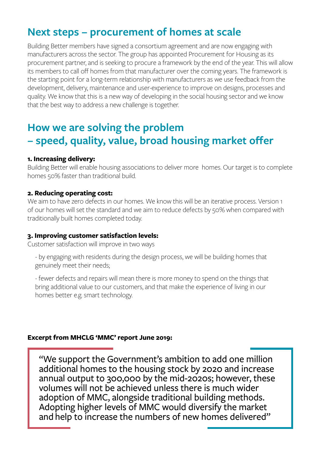### **Next steps – procurement of homes at scale**

Building Better members have signed a consortium agreement and are now engaging with manufacturers across the sector. The group has appointed Procurement for Housing as its procurement partner, and is seeking to procure a framework by the end of the year. This will allow its members to call off homes from that manufacturer over the coming years. The framework is the starting point for a long-term relationship with manufacturers as we use feedback from the development, delivery, maintenance and user-experience to improve on designs, processes and quality. We know that this is a new way of developing in the social housing sector and we know that the best way to address a new challenge is together.

### **How we are solving the problem – speed, quality, value, broad housing market offer**

#### **1. Increasing delivery:**

Building Better will enable housing associations to deliver more homes. Our target is to complete homes 50% faster than traditional build.

#### **2. Reducing operating cost:**

We aim to have zero defects in our homes. We know this will be an iterative process. Version 1 of our homes will set the standard and we aim to reduce defects by 50% when compared with traditionally built homes completed today.

#### **3. Improving customer satisfaction levels:**

Customer satisfaction will improve in two ways

- by engaging with residents during the design process, we will be building homes that genuinely meet their needs;

- fewer defects and repairs will mean there is more money to spend on the things that bring additional value to our customers, and that make the experience of living in our homes better e.g. smart technology.

#### **Excerpt from MHCLG 'MMC' report June 2019:**

"We support the Government's ambition to add one million additional homes to the housing stock by 2020 and increase annual output to 300,000 by the mid-2020s; however, these volumes will not be achieved unless there is much wider adoption of MMC, alongside traditional building methods. Adopting higher levels of MMC would diversify the market and help to increase the numbers of new homes delivered"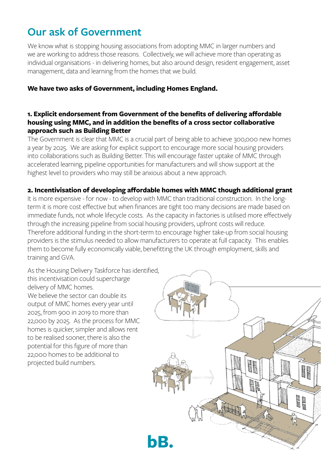### **Our ask of Government**

We know what is stopping housing associations from adopting MMC in larger numbers and we are working to address those reasons. Collectively, we will achieve more than operating as individual organisations - in delivering homes, but also around design, resident engagement, asset management, data and learning from the homes that we build.

#### **We have two asks of Government, including Homes England.**

#### **1. Explicit endorsement from Government of the benefits of delivering affordable housing using MMC, and in addition the benefits of a cross sector collaborative approach such as Building Better**

The Government is clear that MMC is a crucial part of being able to achieve 300,000 new homes a year by 2025. We are asking for explicit support to encourage more social housing providers into collaborations such as Building Better. This will encourage faster uptake of MMC through accelerated learning, pipeline opportunities for manufacturers and will show support at the highest level to providers who may still be anxious about a new approach.

#### **2. Incentivisation of developing affordable homes with MMC though additional grant**

It is more expensive - for now - to develop with MMC than traditional construction. In the longterm it is more cost effective but when finances are tight too many decisions are made based on immediate funds, not whole lifecycle costs. As the capacity in factories is utilised more effectively through the increasing pipeline from social housing providers, upfront costs will reduce. Therefore additional funding in the short-term to encourage higher take-up from social housing providers is the stimulus needed to allow manufacturers to operate at full capacity. This enables them to become fully economically viable, benefitting the UK through employment, skills and training and GVA.

As the Housing Delivery Taskforce has identified, this incentivisation could supercharge delivery of MMC homes. We believe the sector can double its output of MMC homes every year until 2025, from 900 in 2019 to more than 22,000 by 2025. As the process for MMC homes is quicker, simpler and allows rent to be realised sooner, there is also the potential for this figure of more than 22,000 homes to be additional to projected build numbers.

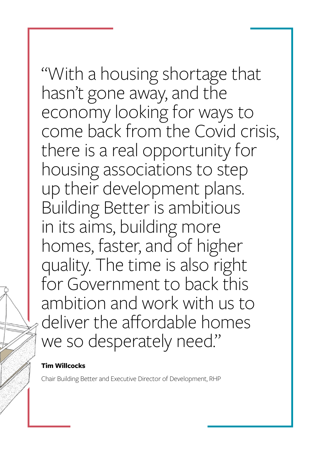## "With a housing shortage that hasn't gone away, and the economy looking for ways to come back from the Covid crisis, there is a real opportunity for housing associations to step up their development plans. Building Better is ambitious in its aims, building more homes, faster, and of higher quality. The time is also right for Government to back this ambition and work with us to deliver the affordable homes we so desperately need."

#### **Tim Willcocks**

Chair Building Better and Executive Director of Development, RHP